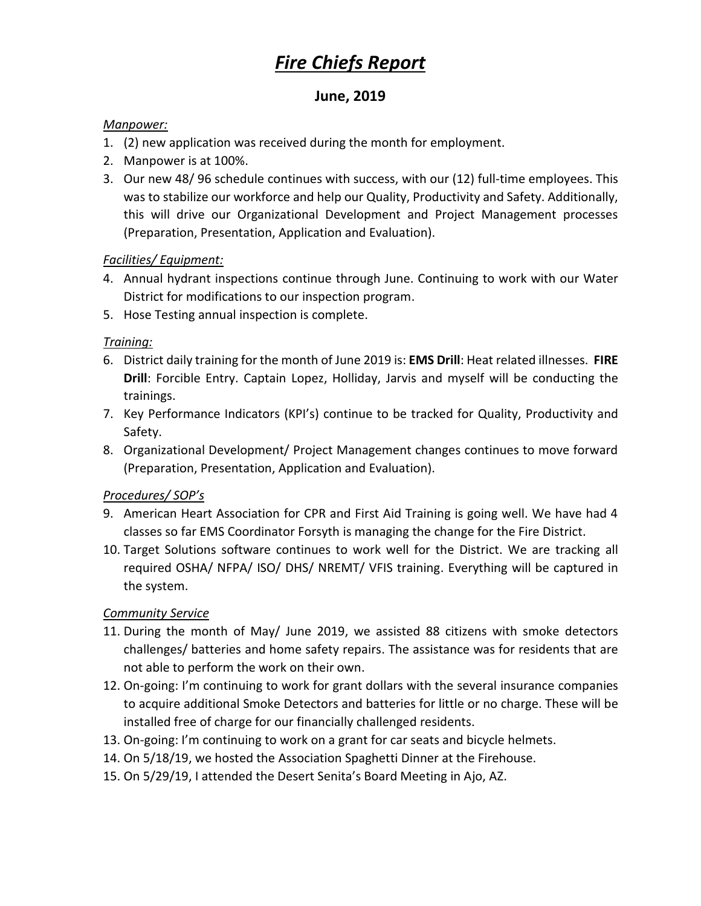# *Fire Chiefs Report*

## **June, 2019**

#### *Manpower:*

- 1. (2) new application was received during the month for employment.
- 2. Manpower is at 100%.
- 3. Our new 48/ 96 schedule continues with success, with our (12) full-time employees. This was to stabilize our workforce and help our Quality, Productivity and Safety. Additionally, this will drive our Organizational Development and Project Management processes (Preparation, Presentation, Application and Evaluation).

#### *Facilities/ Equipment:*

- 4. Annual hydrant inspections continue through June. Continuing to work with our Water District for modifications to our inspection program.
- 5. Hose Testing annual inspection is complete.

#### *Training:*

- 6. District daily training for the month of June 2019 is: **EMS Drill**: Heat related illnesses. **FIRE Drill**: Forcible Entry. Captain Lopez, Holliday, Jarvis and myself will be conducting the trainings.
- 7. Key Performance Indicators (KPI's) continue to be tracked for Quality, Productivity and Safety.
- 8. Organizational Development/ Project Management changes continues to move forward (Preparation, Presentation, Application and Evaluation).

#### *Procedures/ SOP's*

- 9. American Heart Association for CPR and First Aid Training is going well. We have had 4 classes so far EMS Coordinator Forsyth is managing the change for the Fire District.
- 10. Target Solutions software continues to work well for the District. We are tracking all required OSHA/ NFPA/ ISO/ DHS/ NREMT/ VFIS training. Everything will be captured in the system.

#### *Community Service*

- 11. During the month of May/ June 2019, we assisted 88 citizens with smoke detectors challenges/ batteries and home safety repairs. The assistance was for residents that are not able to perform the work on their own.
- 12. On-going: I'm continuing to work for grant dollars with the several insurance companies to acquire additional Smoke Detectors and batteries for little or no charge. These will be installed free of charge for our financially challenged residents.
- 13. On-going: I'm continuing to work on a grant for car seats and bicycle helmets.
- 14. On 5/18/19, we hosted the Association Spaghetti Dinner at the Firehouse.
- 15. On 5/29/19, I attended the Desert Senita's Board Meeting in Ajo, AZ.